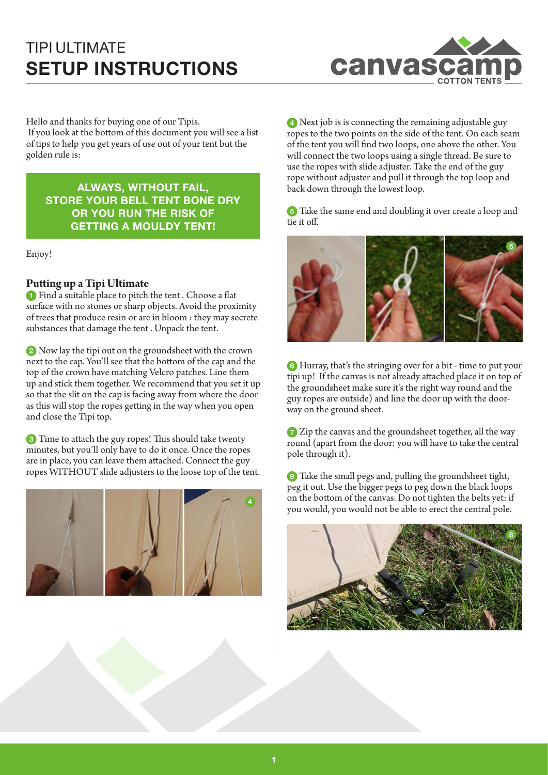

Hello and thanks for buying one of our Tipis. If you look at the bottom of this document you will see a list of tips to help you get years of use out of your tent but the golden rule is:

**ALWAYS, WITHOUT FAIL, STORE YOUR BELL TENT BONE DRY OR YOU RUN THE RISK OF GETTING A MOULDY TENT!** 

Enjoy!

### **Putting up a Tipi Ultimate**

**1** Find a suitable place to pitch the tent . Choose a flat surface with no stones or sharp objects. Avoid the proximity of trees that produce resin or are in bloom : they may secrete substances that damage the tent . Unpack the tent.

**2** Now lay the tipi out on the groundsheet with the crown next to the cap. You'll see that the bottom of the cap and the top of the crown have matching Velcro patches. Line them up and stick them together. We recommend that you set it up so that the slit on the cap is facing away from where the door as this will stop the ropes getting in the way when you open and close the Tipi top.

**3** Time to attach the guy ropes! This should take twenty minutes, but you'll only have to do it once. Once the ropes are in place, you can leave them attached. Connect the guy ropes WITHOUT slide adjusters to the loose top of the tent.



**4** Next job is is connecting the remaining adjustable guy ropes to the two points on the side of the tent. On each seam of the tent you will find two loops, one above the other. You will connect the two loops using a single thread. Be sure to use the ropes with slide adjuster. Take the end of the guy rope without adjuster and pull it through the top loop and back down through the lowest loop.

**5** Take the same end and doubling it over create a loop and tie it off.



**6** Hurray, that's the stringing over for a bit - time to put your tipi up! If the canvas is not already attached place it on top of the groundsheet make sure it's the right way round and the guy ropes are outside) and line the door up with the doorway on the ground sheet.

**7** Zip the canvas and the groundsheet together, all the way round (apart from the door: you will have to take the central pole through it).

**8** Take the small pegs and, pulling the groundsheet tight, peg it out. Use the bigger pegs to peg down the black loops on the bottom of the canvas. Do not tighten the belts yet: if you would, you would not be able to erect the central pole.

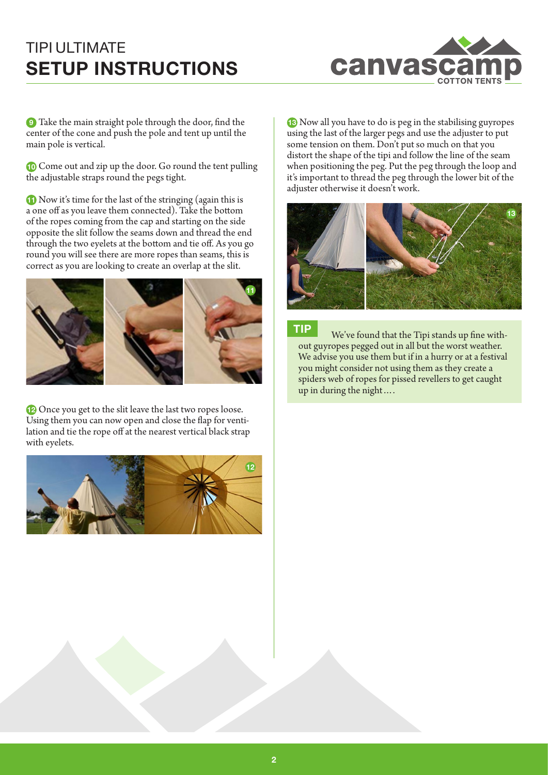

**9** Take the main straight pole through the door, find the center of the cone and push the pole and tent up until the main pole is vertical.

**10** Come out and zip up the door. Go round the tent pulling the adjustable straps round the pegs tight.

**11** Now it's time for the last of the stringing (again this is a one off as you leave them connected). Take the bottom of the ropes coming from the cap and starting on the side opposite the slit follow the seams down and thread the end through the two eyelets at the bottom and tie off. As you go round you will see there are more ropes than seams, this is correct as you are looking to create an overlap at the slit.



**12** Once you get to the slit leave the last two ropes loose. Using them you can now open and close the flap for ventilation and tie the rope off at the nearest vertical black strap with eyelets.



**13** Now all you have to do is peg in the stabilising guyropes using the last of the larger pegs and use the adjuster to put some tension on them. Don't put so much on that you distort the shape of the tipi and follow the line of the seam when positioning the peg. Put the peg through the loop and it's important to thread the peg through the lower bit of the adjuster otherwise it doesn't work.



**TIP** We've found that the Tipi stands up fine without guyropes pegged out in all but the worst weather. We advise you use them but if in a hurry or at a festival you might consider not using them as they create a spiders web of ropes for pissed revellers to get caught up in during the night….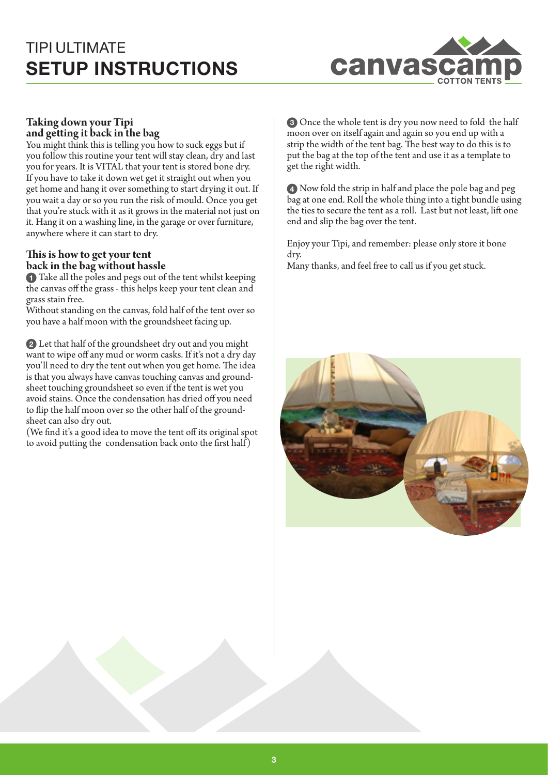

### **Taking down your Tipi and getting it back in the bag**

You might think this is telling you how to suck eggs but if you follow this routine your tent will stay clean, dry and last you for years. It is VITAL that your tent is stored bone dry. If you have to take it down wet get it straight out when you get home and hang it over something to start drying it out. If you wait a day or so you run the risk of mould. Once you get that you're stuck with it as it grows in the material not just on it. Hang it on a washing line, in the garage or over furniture, anywhere where it can start to dry.

### **This is how to get your tent back in the bag without hassle**

**1** Take all the poles and pegs out of the tent whilst keeping the canvas off the grass - this helps keep your tent clean and grass stain free.

Without standing on the canvas, fold half of the tent over so you have a half moon with the groundsheet facing up.

**2** Let that half of the groundsheet dry out and you might want to wipe off any mud or worm casks. If it's not a dry day you'll need to dry the tent out when you get home. The idea is that you always have canvas touching canvas and groundsheet touching groundsheet so even if the tent is wet you avoid stains. Once the condensation has dried off you need to flip the half moon over so the other half of the groundsheet can also dry out.

(We find it's a good idea to move the tent off its original spot to avoid putting the condensation back onto the first half)

**3** Once the whole tent is dry you now need to fold the half moon over on itself again and again so you end up with a strip the width of the tent bag. The best way to do this is to put the bag at the top of the tent and use it as a template to get the right width.

**4** Now fold the strip in half and place the pole bag and peg bag at one end. Roll the whole thing into a tight bundle using the ties to secure the tent as a roll. Last but not least, lift one end and slip the bag over the tent.

Enjoy your Tipi, and remember: please only store it bone dry. Many thanks, and feel free to call us if you get stuck.